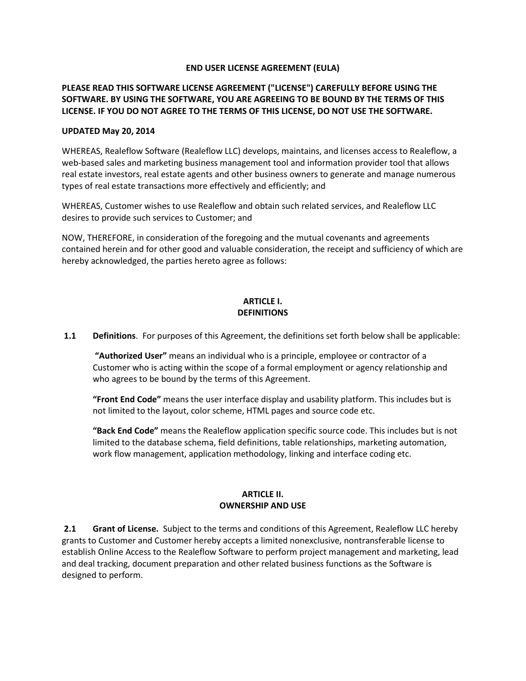### **END USER LICENSE AGREEMENT (EULA)**

## **PLEASE READ THIS SOFTWARE LICENSE AGREEMENT ("LICENSE") CAREFULLY BEFORE USING THE SOFTWARE. BY USING THE SOFTWARE, YOU ARE AGREEING TO BE BOUND BY THE TERMS OF THIS LICENSE. IF YOU DO NOT AGREE TO THE TERMS OF THIS LICENSE, DO NOT USE THE SOFTWARE.**

#### **UPDATED May 20, 2014**

WHEREAS, Realeflow Software (Realeflow LLC) develops, maintains, and licenses access to Realeflow, a web-based sales and marketing business management tool and information provider tool that allows real estate investors, real estate agents and other business owners to generate and manage numerous types of real estate transactions more effectively and efficiently; and

WHEREAS, Customer wishes to use Realeflow and obtain such related services, and Realeflow LLC desires to provide such services to Customer; and

NOW, THEREFORE, in consideration of the foregoing and the mutual covenants and agreements contained herein and for other good and valuable consideration, the receipt and sufficiency of which are hereby acknowledged, the parties hereto agree as follows:

### **ARTICLE I. DEFINITIONS**

**1.1 Definitions**. For purposes of this Agreement, the definitions set forth below shall be applicable:

**"Authorized User"** means an individual who is a principle, employee or contractor of a Customer who is acting within the scope of a formal employment or agency relationship and who agrees to be bound by the terms of this Agreement.

**"Front End Code"** means the user interface display and usability platform. This includes but is not limited to the layout, color scheme, HTML pages and source code etc.

**"Back End Code"** means the Realeflow application specific source code. This includes but is not limited to the database schema, field definitions, table relationships, marketing automation, work flow management, application methodology, linking and interface coding etc.

### **ARTICLE II. OWNERSHIP AND USE**

**2.1 Grant of License.** Subject to the terms and conditions of this Agreement, Realeflow LLC hereby grants to Customer and Customer hereby accepts a limited nonexclusive, nontransferable license to establish Online Access to the Realeflow Software to perform project management and marketing, lead and deal tracking, document preparation and other related business functions as the Software is designed to perform.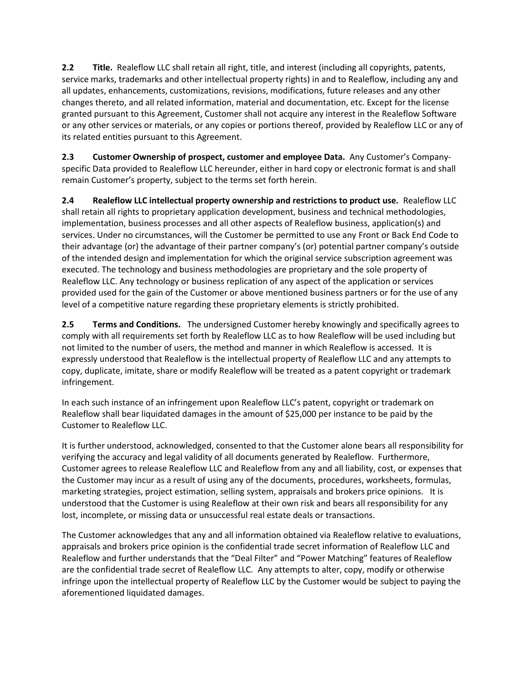**2.2 Title.** Realeflow LLC shall retain all right, title, and interest (including all copyrights, patents, service marks, trademarks and other intellectual property rights) in and to Realeflow, including any and all updates, enhancements, customizations, revisions, modifications, future releases and any other changes thereto, and all related information, material and documentation, etc. Except for the license granted pursuant to this Agreement, Customer shall not acquire any interest in the Realeflow Software or any other services or materials, or any copies or portions thereof, provided by Realeflow LLC or any of its related entities pursuant to this Agreement.

**2.3 Customer Ownership of prospect, customer and employee Data.** Any Customer's Companyspecific Data provided to Realeflow LLC hereunder, either in hard copy or electronic format is and shall remain Customer's property, subject to the terms set forth herein.

**2.4 Realeflow LLC intellectual property ownership and restrictions to product use.** Realeflow LLC shall retain all rights to proprietary application development, business and technical methodologies, implementation, business processes and all other aspects of Realeflow business, application(s) and services. Under no circumstances, will the Customer be permitted to use any Front or Back End Code to their advantage (or) the advantage of their partner company's (or) potential partner company's outside of the intended design and implementation for which the original service subscription agreement was executed. The technology and business methodologies are proprietary and the sole property of Realeflow LLC. Any technology or business replication of any aspect of the application or services provided used for the gain of the Customer or above mentioned business partners or for the use of any level of a competitive nature regarding these proprietary elements is strictly prohibited.

**2.5 Terms and Conditions.** The undersigned Customer hereby knowingly and specifically agrees to comply with all requirements set forth by Realeflow LLC as to how Realeflow will be used including but not limited to the number of users, the method and manner in which Realeflow is accessed. It is expressly understood that Realeflow is the intellectual property of Realeflow LLC and any attempts to copy, duplicate, imitate, share or modify Realeflow will be treated as a patent copyright or trademark infringement.

In each such instance of an infringement upon Realeflow LLC's patent, copyright or trademark on Realeflow shall bear liquidated damages in the amount of \$25,000 per instance to be paid by the Customer to Realeflow LLC.

It is further understood, acknowledged, consented to that the Customer alone bears all responsibility for verifying the accuracy and legal validity of all documents generated by Realeflow. Furthermore, Customer agrees to release Realeflow LLC and Realeflow from any and all liability, cost, or expenses that the Customer may incur as a result of using any of the documents, procedures, worksheets, formulas, marketing strategies, project estimation, selling system, appraisals and brokers price opinions. It is understood that the Customer is using Realeflow at their own risk and bears all responsibility for any lost, incomplete, or missing data or unsuccessful real estate deals or transactions.

The Customer acknowledges that any and all information obtained via Realeflow relative to evaluations, appraisals and brokers price opinion is the confidential trade secret information of Realeflow LLC and Realeflow and further understands that the "Deal Filter" and "Power Matching" features of Realeflow are the confidential trade secret of Realeflow LLC. Any attempts to alter, copy, modify or otherwise infringe upon the intellectual property of Realeflow LLC by the Customer would be subject to paying the aforementioned liquidated damages.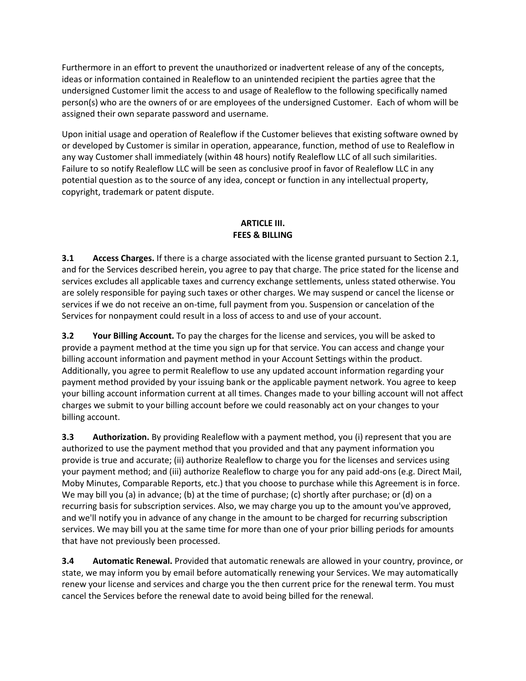Furthermore in an effort to prevent the unauthorized or inadvertent release of any of the concepts, ideas or information contained in Realeflow to an unintended recipient the parties agree that the undersigned Customer limit the access to and usage of Realeflow to the following specifically named person(s) who are the owners of or are employees of the undersigned Customer. Each of whom will be assigned their own separate password and username.

Upon initial usage and operation of Realeflow if the Customer believes that existing software owned by or developed by Customer is similar in operation, appearance, function, method of use to Realeflow in any way Customer shall immediately (within 48 hours) notify Realeflow LLC of all such similarities. Failure to so notify Realeflow LLC will be seen as conclusive proof in favor of Realeflow LLC in any potential question as to the source of any idea, concept or function in any intellectual property, copyright, trademark or patent dispute.

## **ARTICLE III. FEES & BILLING**

**3.1 Access Charges.** If there is a charge associated with the license granted pursuant to Section 2.1, and for the Services described herein, you agree to pay that charge. The price stated for the license and services excludes all applicable taxes and currency exchange settlements, unless stated otherwise. You are solely responsible for paying such taxes or other charges. We may suspend or cancel the license or services if we do not receive an on-time, full payment from you. Suspension or cancelation of the Services for nonpayment could result in a loss of access to and use of your account.

**3.2 Your Billing Account.** To pay the charges for the license and services, you will be asked to provide a payment method at the time you sign up for that service. You can access and change your billing account information and payment method in your Account Settings within the product. Additionally, you agree to permit Realeflow to use any updated account information regarding your payment method provided by your issuing bank or the applicable payment network. You agree to keep your billing account information current at all times. Changes made to your billing account will not affect charges we submit to your billing account before we could reasonably act on your changes to your billing account.

**3.3 Authorization.** By providing Realeflow with a payment method, you (i) represent that you are authorized to use the payment method that you provided and that any payment information you provide is true and accurate; (ii) authorize Realeflow to charge you for the licenses and services using your payment method; and (iii) authorize Realeflow to charge you for any paid add-ons (e.g. Direct Mail, Moby Minutes, Comparable Reports, etc.) that you choose to purchase while this Agreement is in force. We may bill you (a) in advance; (b) at the time of purchase; (c) shortly after purchase; or (d) on a recurring basis for subscription services. Also, we may charge you up to the amount you've approved, and we'll notify you in advance of any change in the amount to be charged for recurring subscription services. We may bill you at the same time for more than one of your prior billing periods for amounts that have not previously been processed.

**3.4 Automatic Renewal.** Provided that automatic renewals are allowed in your country, province, or state, we may inform you by email before automatically renewing your Services. We may automatically renew your license and services and charge you the then current price for the renewal term. You must cancel the Services before the renewal date to avoid being billed for the renewal.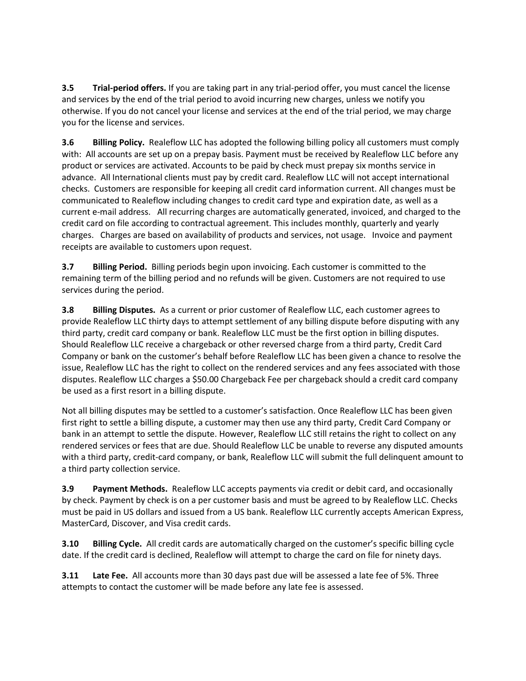**3.5 Trial-period offers.** If you are taking part in any trial-period offer, you must cancel the license and services by the end of the trial period to avoid incurring new charges, unless we notify you otherwise. If you do not cancel your license and services at the end of the trial period, we may charge you for the license and services.

**3.6 Billing Policy.** Realeflow LLC has adopted the following billing policy all customers must comply with: All accounts are set up on a prepay basis. Payment must be received by Realeflow LLC before any product or services are activated. Accounts to be paid by check must prepay six months service in advance. All International clients must pay by credit card. Realeflow LLC will not accept international checks. Customers are responsible for keeping all credit card information current. All changes must be communicated to Realeflow including changes to credit card type and expiration date, as well as a current e-mail address. All recurring charges are automatically generated, invoiced, and charged to the credit card on file according to contractual agreement. This includes monthly, quarterly and yearly charges. Charges are based on availability of products and services, not usage. Invoice and payment receipts are available to customers upon request.

**3.7 Billing Period.** Billing periods begin upon invoicing. Each customer is committed to the remaining term of the billing period and no refunds will be given. Customers are not required to use services during the period.

**3.8 Billing Disputes.** As a current or prior customer of Realeflow LLC, each customer agrees to provide Realeflow LLC thirty days to attempt settlement of any billing dispute before disputing with any third party, credit card company or bank. Realeflow LLC must be the first option in billing disputes. Should Realeflow LLC receive a chargeback or other reversed charge from a third party, Credit Card Company or bank on the customer's behalf before Realeflow LLC has been given a chance to resolve the issue, Realeflow LLC has the right to collect on the rendered services and any fees associated with those disputes. Realeflow LLC charges a \$50.00 Chargeback Fee per chargeback should a credit card company be used as a first resort in a billing dispute.

Not all billing disputes may be settled to a customer's satisfaction. Once Realeflow LLC has been given first right to settle a billing dispute, a customer may then use any third party, Credit Card Company or bank in an attempt to settle the dispute. However, Realeflow LLC still retains the right to collect on any rendered services or fees that are due. Should Realeflow LLC be unable to reverse any disputed amounts with a third party, credit-card company, or bank, Realeflow LLC will submit the full delinquent amount to a third party collection service.

**3.9 Payment Methods.** Realeflow LLC accepts payments via credit or debit card, and occasionally by check. Payment by check is on a per customer basis and must be agreed to by Realeflow LLC. Checks must be paid in US dollars and issued from a US bank. Realeflow LLC currently accepts American Express, MasterCard, Discover, and Visa credit cards.

**3.10 Billing Cycle.** All credit cards are automatically charged on the customer's specific billing cycle date. If the credit card is declined, Realeflow will attempt to charge the card on file for ninety days.

**3.11 Late Fee.** All accounts more than 30 days past due will be assessed a late fee of 5%. Three attempts to contact the customer will be made before any late fee is assessed.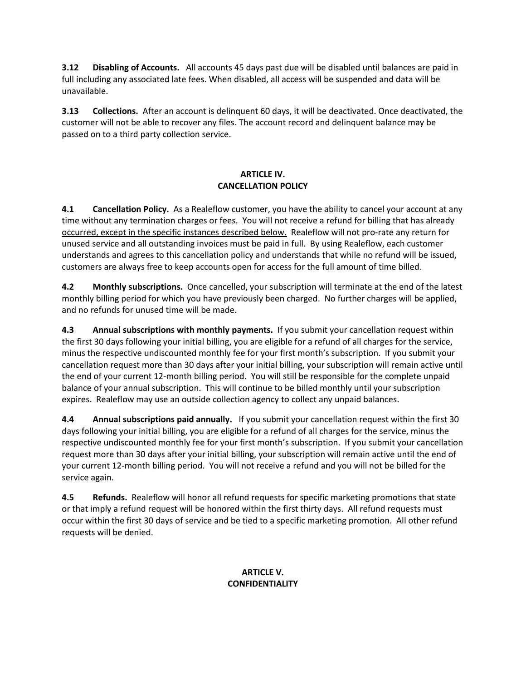**3.12 Disabling of Accounts.** All accounts 45 days past due will be disabled until balances are paid in full including any associated late fees. When disabled, all access will be suspended and data will be unavailable.

**3.13 Collections.** After an account is delinquent 60 days, it will be deactivated. Once deactivated, the customer will not be able to recover any files. The account record and delinquent balance may be passed on to a third party collection service.

## **ARTICLE IV. CANCELLATION POLICY**

**4.1 Cancellation Policy.** As a Realeflow customer, you have the ability to cancel your account at any time without any termination charges or fees. You will not receive a refund for billing that has already occurred, except in the specific instances described below. Realeflow will not pro-rate any return for unused service and all outstanding invoices must be paid in full. By using Realeflow, each customer understands and agrees to this cancellation policy and understands that while no refund will be issued, customers are always free to keep accounts open for access for the full amount of time billed.

**4.2 Monthly subscriptions.** Once cancelled, your subscription will terminate at the end of the latest monthly billing period for which you have previously been charged. No further charges will be applied, and no refunds for unused time will be made.

**4.3 Annual subscriptions with monthly payments.** If you submit your cancellation request within the first 30 days following your initial billing, you are eligible for a refund of all charges for the service, minus the respective undiscounted monthly fee for your first month's subscription. If you submit your cancellation request more than 30 days after your initial billing, your subscription will remain active until the end of your current 12-month billing period. You will still be responsible for the complete unpaid balance of your annual subscription. This will continue to be billed monthly until your subscription expires. Realeflow may use an outside collection agency to collect any unpaid balances.

**4.4 Annual subscriptions paid annually.** If you submit your cancellation request within the first 30 days following your initial billing, you are eligible for a refund of all charges for the service, minus the respective undiscounted monthly fee for your first month's subscription. If you submit your cancellation request more than 30 days after your initial billing, your subscription will remain active until the end of your current 12-month billing period. You will not receive a refund and you will not be billed for the service again.

**4.5 Refunds.** Realeflow will honor all refund requests for specific marketing promotions that state or that imply a refund request will be honored within the first thirty days. All refund requests must occur within the first 30 days of service and be tied to a specific marketing promotion. All other refund requests will be denied.

# **ARTICLE V. CONFIDENTIALITY**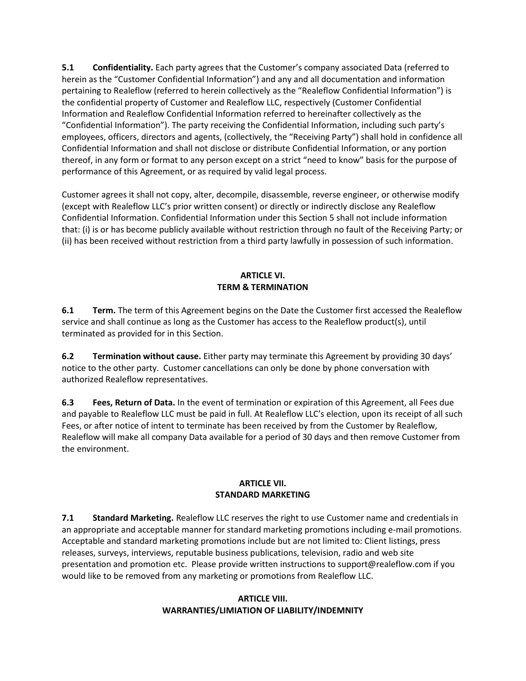**5.1 Confidentiality.** Each party agrees that the Customer's company associated Data (referred to herein as the "Customer Confidential Information") and any and all documentation and information pertaining to Realeflow (referred to herein collectively as the "Realeflow Confidential Information") is the confidential property of Customer and Realeflow LLC, respectively (Customer Confidential Information and Realeflow Confidential Information referred to hereinafter collectively as the "Confidential Information"). The party receiving the Confidential Information, including such party's employees, officers, directors and agents, (collectively, the "Receiving Party") shall hold in confidence all Confidential Information and shall not disclose or distribute Confidential Information, or any portion thereof, in any form or format to any person except on a strict "need to know" basis for the purpose of performance of this Agreement, or as required by valid legal process.

Customer agrees it shall not copy, alter, decompile, disassemble, reverse engineer, or otherwise modify (except with Realeflow LLC's prior written consent) or directly or indirectly disclose any Realeflow Confidential Information. Confidential Information under this Section 5 shall not include information that: (i) is or has become publicly available without restriction through no fault of the Receiving Party; or (ii) has been received without restriction from a third party lawfully in possession of such information.

## **ARTICLE VI. TERM & TERMINATION**

**6.1 Term.** The term of this Agreement begins on the Date the Customer first accessed the Realeflow service and shall continue as long as the Customer has access to the Realeflow product(s), until terminated as provided for in this Section.

**6.2 Termination without cause.** Either party may terminate this Agreement by providing 30 days' notice to the other party. Customer cancellations can only be done by phone conversation with authorized Realeflow representatives.

**6.3 Fees, Return of Data.** In the event of termination or expiration of this Agreement, all Fees due and payable to Realeflow LLC must be paid in full. At Realeflow LLC's election, upon its receipt of all such Fees, or after notice of intent to terminate has been received by from the Customer by Realeflow, Realeflow will make all company Data available for a period of 30 days and then remove Customer from the environment.

## **ARTICLE VII. STANDARD MARKETING**

**7.1 Standard Marketing.** Realeflow LLC reserves the right to use Customer name and credentials in an appropriate and acceptable manner for standard marketing promotions including e-mail promotions. Acceptable and standard marketing promotions include but are not limited to: Client listings, press releases, surveys, interviews, reputable business publications, television, radio and web site presentation and promotion etc. Please provide written instructions to support@realeflow.com if you would like to be removed from any marketing or promotions from Realeflow LLC.

## **ARTICLE VIII. WARRANTIES/LIMIATION OF LIABILITY/INDEMNITY**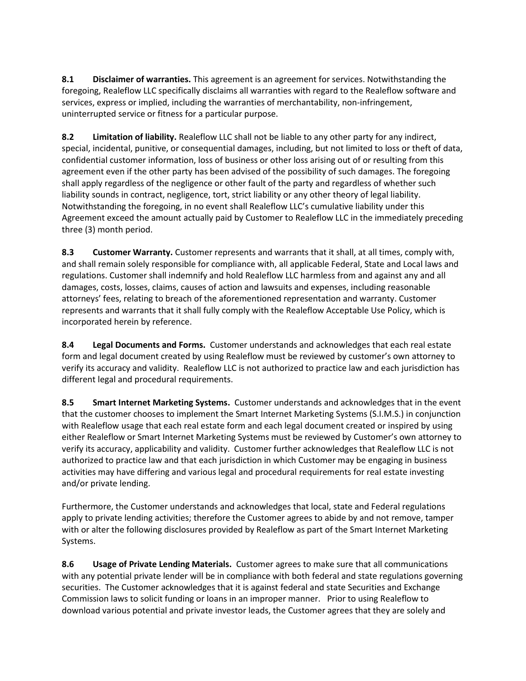**8.1 Disclaimer of warranties.** This agreement is an agreement for services. Notwithstanding the foregoing, Realeflow LLC specifically disclaims all warranties with regard to the Realeflow software and services, express or implied, including the warranties of merchantability, non-infringement, uninterrupted service or fitness for a particular purpose.

**8.2 Limitation of liability.** Realeflow LLC shall not be liable to any other party for any indirect, special, incidental, punitive, or consequential damages, including, but not limited to loss or theft of data, confidential customer information, loss of business or other loss arising out of or resulting from this agreement even if the other party has been advised of the possibility of such damages. The foregoing shall apply regardless of the negligence or other fault of the party and regardless of whether such liability sounds in contract, negligence, tort, strict liability or any other theory of legal liability. Notwithstanding the foregoing, in no event shall Realeflow LLC's cumulative liability under this Agreement exceed the amount actually paid by Customer to Realeflow LLC in the immediately preceding three (3) month period.

**8.3 Customer Warranty.** Customer represents and warrants that it shall, at all times, comply with, and shall remain solely responsible for compliance with, all applicable Federal, State and Local laws and regulations. Customer shall indemnify and hold Realeflow LLC harmless from and against any and all damages, costs, losses, claims, causes of action and lawsuits and expenses, including reasonable attorneys' fees, relating to breach of the aforementioned representation and warranty. Customer represents and warrants that it shall fully comply with the Realeflow Acceptable Use Policy, which is incorporated herein by reference.

**8.4 Legal Documents and Forms.** Customer understands and acknowledges that each real estate form and legal document created by using Realeflow must be reviewed by customer's own attorney to verify its accuracy and validity. Realeflow LLC is not authorized to practice law and each jurisdiction has different legal and procedural requirements.

**8.5 Smart Internet Marketing Systems.** Customer understands and acknowledges that in the event that the customer chooses to implement the Smart Internet Marketing Systems (S.I.M.S.) in conjunction with Realeflow usage that each real estate form and each legal document created or inspired by using either Realeflow or Smart Internet Marketing Systems must be reviewed by Customer's own attorney to verify its accuracy, applicability and validity. Customer further acknowledges that Realeflow LLC is not authorized to practice law and that each jurisdiction in which Customer may be engaging in business activities may have differing and various legal and procedural requirements for real estate investing and/or private lending.

Furthermore, the Customer understands and acknowledges that local, state and Federal regulations apply to private lending activities; therefore the Customer agrees to abide by and not remove, tamper with or alter the following disclosures provided by Realeflow as part of the Smart Internet Marketing Systems.

**8.6 Usage of Private Lending Materials.** Customer agrees to make sure that all communications with any potential private lender will be in compliance with both federal and state regulations governing securities. The Customer acknowledges that it is against federal and state Securities and Exchange Commission laws to solicit funding or loans in an improper manner. Prior to using Realeflow to download various potential and private investor leads, the Customer agrees that they are solely and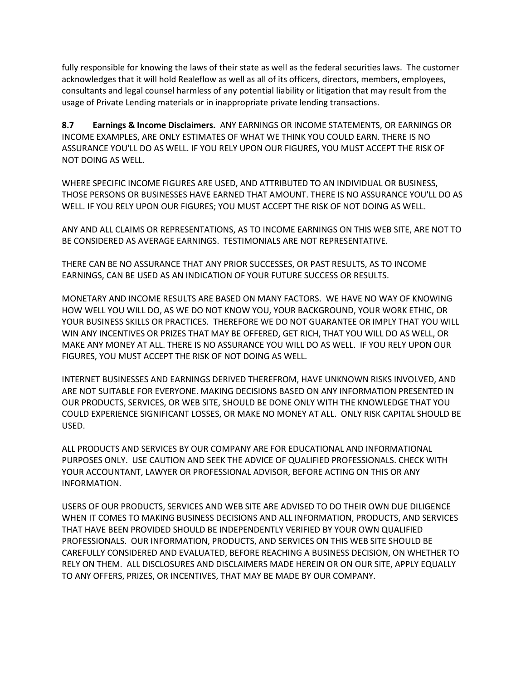fully responsible for knowing the laws of their state as well as the federal securities laws. The customer acknowledges that it will hold Realeflow as well as all of its officers, directors, members, employees, consultants and legal counsel harmless of any potential liability or litigation that may result from the usage of Private Lending materials or in inappropriate private lending transactions.

**8.7 Earnings & Income Disclaimers.** ANY EARNINGS OR INCOME STATEMENTS, OR EARNINGS OR INCOME EXAMPLES, ARE ONLY ESTIMATES OF WHAT WE THINK YOU COULD EARN. THERE IS NO ASSURANCE YOU'LL DO AS WELL. IF YOU RELY UPON OUR FIGURES, YOU MUST ACCEPT THE RISK OF NOT DOING AS WELL.

WHERE SPECIFIC INCOME FIGURES ARE USED, AND ATTRIBUTED TO AN INDIVIDUAL OR BUSINESS, THOSE PERSONS OR BUSINESSES HAVE EARNED THAT AMOUNT. THERE IS NO ASSURANCE YOU'LL DO AS WELL. IF YOU RELY UPON OUR FIGURES; YOU MUST ACCEPT THE RISK OF NOT DOING AS WELL.

ANY AND ALL CLAIMS OR REPRESENTATIONS, AS TO INCOME EARNINGS ON THIS WEB SITE, ARE NOT TO BE CONSIDERED AS AVERAGE EARNINGS. TESTIMONIALS ARE NOT REPRESENTATIVE.

THERE CAN BE NO ASSURANCE THAT ANY PRIOR SUCCESSES, OR PAST RESULTS, AS TO INCOME EARNINGS, CAN BE USED AS AN INDICATION OF YOUR FUTURE SUCCESS OR RESULTS.

MONETARY AND INCOME RESULTS ARE BASED ON MANY FACTORS. WE HAVE NO WAY OF KNOWING HOW WELL YOU WILL DO, AS WE DO NOT KNOW YOU, YOUR BACKGROUND, YOUR WORK ETHIC, OR YOUR BUSINESS SKILLS OR PRACTICES. THEREFORE WE DO NOT GUARANTEE OR IMPLY THAT YOU WILL WIN ANY INCENTIVES OR PRIZES THAT MAY BE OFFERED, GET RICH, THAT YOU WILL DO AS WELL, OR MAKE ANY MONEY AT ALL. THERE IS NO ASSURANCE YOU WILL DO AS WELL. IF YOU RELY UPON OUR FIGURES, YOU MUST ACCEPT THE RISK OF NOT DOING AS WELL.

INTERNET BUSINESSES AND EARNINGS DERIVED THEREFROM, HAVE UNKNOWN RISKS INVOLVED, AND ARE NOT SUITABLE FOR EVERYONE. MAKING DECISIONS BASED ON ANY INFORMATION PRESENTED IN OUR PRODUCTS, SERVICES, OR WEB SITE, SHOULD BE DONE ONLY WITH THE KNOWLEDGE THAT YOU COULD EXPERIENCE SIGNIFICANT LOSSES, OR MAKE NO MONEY AT ALL. ONLY RISK CAPITAL SHOULD BE USED.

ALL PRODUCTS AND SERVICES BY OUR COMPANY ARE FOR EDUCATIONAL AND INFORMATIONAL PURPOSES ONLY. USE CAUTION AND SEEK THE ADVICE OF QUALIFIED PROFESSIONALS. CHECK WITH YOUR ACCOUNTANT, LAWYER OR PROFESSIONAL ADVISOR, BEFORE ACTING ON THIS OR ANY INFORMATION.

USERS OF OUR PRODUCTS, SERVICES AND WEB SITE ARE ADVISED TO DO THEIR OWN DUE DILIGENCE WHEN IT COMES TO MAKING BUSINESS DECISIONS AND ALL INFORMATION, PRODUCTS, AND SERVICES THAT HAVE BEEN PROVIDED SHOULD BE INDEPENDENTLY VERIFIED BY YOUR OWN QUALIFIED PROFESSIONALS. OUR INFORMATION, PRODUCTS, AND SERVICES ON THIS WEB SITE SHOULD BE CAREFULLY CONSIDERED AND EVALUATED, BEFORE REACHING A BUSINESS DECISION, ON WHETHER TO RELY ON THEM. ALL DISCLOSURES AND DISCLAIMERS MADE HEREIN OR ON OUR SITE, APPLY EQUALLY TO ANY OFFERS, PRIZES, OR INCENTIVES, THAT MAY BE MADE BY OUR COMPANY.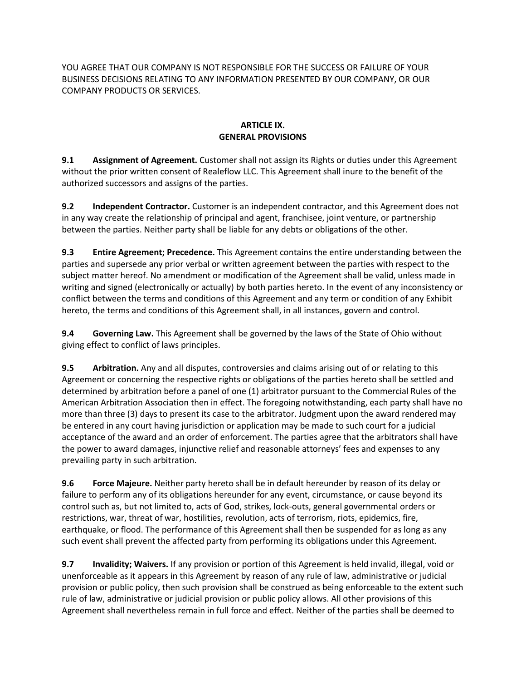YOU AGREE THAT OUR COMPANY IS NOT RESPONSIBLE FOR THE SUCCESS OR FAILURE OF YOUR BUSINESS DECISIONS RELATING TO ANY INFORMATION PRESENTED BY OUR COMPANY, OR OUR COMPANY PRODUCTS OR SERVICES.

## **ARTICLE IX. GENERAL PROVISIONS**

**9.1 Assignment of Agreement.** Customer shall not assign its Rights or duties under this Agreement without the prior written consent of Realeflow LLC. This Agreement shall inure to the benefit of the authorized successors and assigns of the parties.

**9.2 Independent Contractor.** Customer is an independent contractor, and this Agreement does not in any way create the relationship of principal and agent, franchisee, joint venture, or partnership between the parties. Neither party shall be liable for any debts or obligations of the other.

**9.3 Entire Agreement; Precedence.** This Agreement contains the entire understanding between the parties and supersede any prior verbal or written agreement between the parties with respect to the subject matter hereof. No amendment or modification of the Agreement shall be valid, unless made in writing and signed (electronically or actually) by both parties hereto. In the event of any inconsistency or conflict between the terms and conditions of this Agreement and any term or condition of any Exhibit hereto, the terms and conditions of this Agreement shall, in all instances, govern and control.

**9.4 Governing Law.** This Agreement shall be governed by the laws of the State of Ohio without giving effect to conflict of laws principles.

**9.5 Arbitration.** Any and all disputes, controversies and claims arising out of or relating to this Agreement or concerning the respective rights or obligations of the parties hereto shall be settled and determined by arbitration before a panel of one (1) arbitrator pursuant to the Commercial Rules of the American Arbitration Association then in effect. The foregoing notwithstanding, each party shall have no more than three (3) days to present its case to the arbitrator. Judgment upon the award rendered may be entered in any court having jurisdiction or application may be made to such court for a judicial acceptance of the award and an order of enforcement. The parties agree that the arbitrators shall have the power to award damages, injunctive relief and reasonable attorneys' fees and expenses to any prevailing party in such arbitration.

**9.6 Force Majeure.** Neither party hereto shall be in default hereunder by reason of its delay or failure to perform any of its obligations hereunder for any event, circumstance, or cause beyond its control such as, but not limited to, acts of God, strikes, lock-outs, general governmental orders or restrictions, war, threat of war, hostilities, revolution, acts of terrorism, riots, epidemics, fire, earthquake, or flood. The performance of this Agreement shall then be suspended for as long as any such event shall prevent the affected party from performing its obligations under this Agreement.

**9.7 Invalidity; Waivers.** If any provision or portion of this Agreement is held invalid, illegal, void or unenforceable as it appears in this Agreement by reason of any rule of law, administrative or judicial provision or public policy, then such provision shall be construed as being enforceable to the extent such rule of law, administrative or judicial provision or public policy allows. All other provisions of this Agreement shall nevertheless remain in full force and effect. Neither of the parties shall be deemed to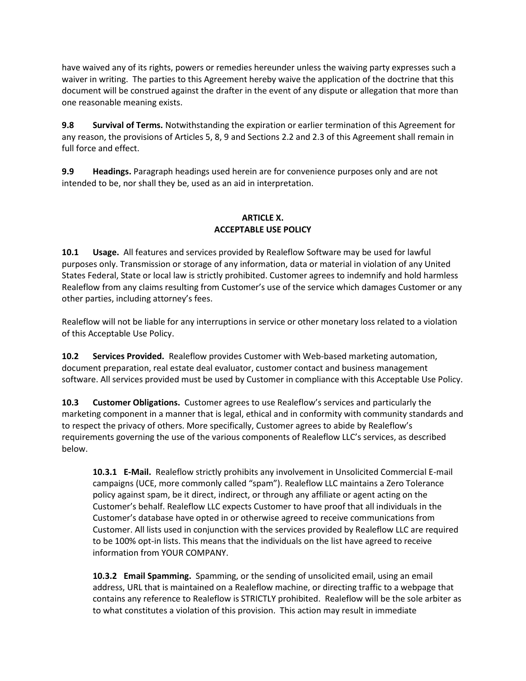have waived any of its rights, powers or remedies hereunder unless the waiving party expresses such a waiver in writing. The parties to this Agreement hereby waive the application of the doctrine that this document will be construed against the drafter in the event of any dispute or allegation that more than one reasonable meaning exists.

**9.8 Survival of Terms.** Notwithstanding the expiration or earlier termination of this Agreement for any reason, the provisions of Articles 5, 8, 9 and Sections 2.2 and 2.3 of this Agreement shall remain in full force and effect.

**9.9 Headings.** Paragraph headings used herein are for convenience purposes only and are not intended to be, nor shall they be, used as an aid in interpretation.

## **ARTICLE X. ACCEPTABLE USE POLICY**

**10.1 Usage.** All features and services provided by Realeflow Software may be used for lawful purposes only. Transmission or storage of any information, data or material in violation of any United States Federal, State or local law is strictly prohibited. Customer agrees to indemnify and hold harmless Realeflow from any claims resulting from Customer's use of the service which damages Customer or any other parties, including attorney's fees.

Realeflow will not be liable for any interruptions in service or other monetary loss related to a violation of this Acceptable Use Policy.

**10.2 Services Provided.** Realeflow provides Customer with Web-based marketing automation, document preparation, real estate deal evaluator, customer contact and business management software. All services provided must be used by Customer in compliance with this Acceptable Use Policy.

**10.3 Customer Obligations.** Customer agrees to use Realeflow's services and particularly the marketing component in a manner that is legal, ethical and in conformity with community standards and to respect the privacy of others. More specifically, Customer agrees to abide by Realeflow's requirements governing the use of the various components of Realeflow LLC's services, as described below.

**10.3.1 E-Mail.** Realeflow strictly prohibits any involvement in Unsolicited Commercial E-mail campaigns (UCE, more commonly called "spam"). Realeflow LLC maintains a Zero Tolerance policy against spam, be it direct, indirect, or through any affiliate or agent acting on the Customer's behalf. Realeflow LLC expects Customer to have proof that all individuals in the Customer's database have opted in or otherwise agreed to receive communications from Customer. All lists used in conjunction with the services provided by Realeflow LLC are required to be 100% opt-in lists. This means that the individuals on the list have agreed to receive information from YOUR COMPANY.

**10.3.2 Email Spamming.** Spamming, or the sending of unsolicited email, using an email address, URL that is maintained on a Realeflow machine, or directing traffic to a webpage that contains any reference to Realeflow is STRICTLY prohibited. Realeflow will be the sole arbiter as to what constitutes a violation of this provision. This action may result in immediate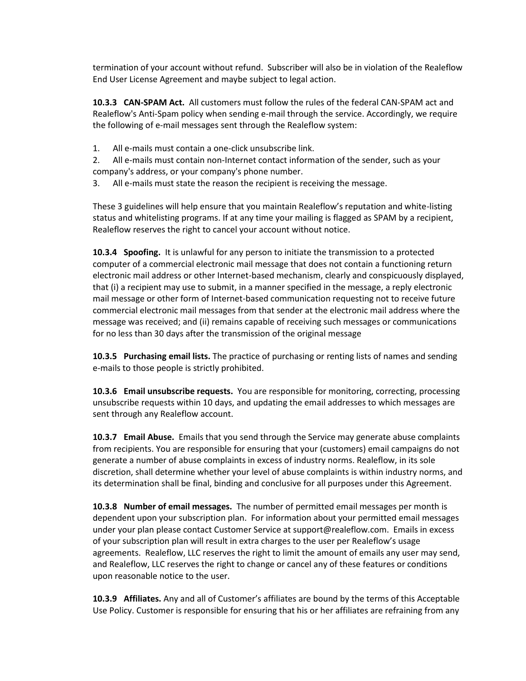termination of your account without refund. Subscriber will also be in violation of the Realeflow End User License Agreement and maybe subject to legal action.

**10.3.3 CAN-SPAM Act.** All customers must follow the rules of the federal CAN-SPAM act and Realeflow's Anti-Spam policy when sending e-mail through the service. Accordingly, we require the following of e-mail messages sent through the Realeflow system:

1. All e-mails must contain a one-click unsubscribe link.

2. All e-mails must contain non-Internet contact information of the sender, such as your company's address, or your company's phone number.

3. All e-mails must state the reason the recipient is receiving the message.

These 3 guidelines will help ensure that you maintain Realeflow's reputation and white-listing status and whitelisting programs. If at any time your mailing is flagged as SPAM by a recipient, Realeflow reserves the right to cancel your account without notice.

**10.3.4 Spoofing.** It is unlawful for any person to initiate the transmission to a protected computer of a commercial electronic mail message that does not contain a functioning return electronic mail address or other Internet-based mechanism, clearly and conspicuously displayed, that (i) a recipient may use to submit, in a manner specified in the message, a reply electronic mail message or other form of Internet-based communication requesting not to receive future commercial electronic mail messages from that sender at the electronic mail address where the message was received; and (ii) remains capable of receiving such messages or communications for no less than 30 days after the transmission of the original message

**10.3.5 Purchasing email lists.** The practice of purchasing or renting lists of names and sending e-mails to those people is strictly prohibited.

**10.3.6 Email unsubscribe requests.** You are responsible for monitoring, correcting, processing unsubscribe requests within 10 days, and updating the email addresses to which messages are sent through any Realeflow account.

**10.3.7 Email Abuse.** Emails that you send through the Service may generate abuse complaints from recipients. You are responsible for ensuring that your (customers) email campaigns do not generate a number of abuse complaints in excess of industry norms. Realeflow, in its sole discretion, shall determine whether your level of abuse complaints is within industry norms, and its determination shall be final, binding and conclusive for all purposes under this Agreement.

**10.3.8 Number of email messages.** The number of permitted email messages per month is dependent upon your subscription plan. For information about your permitted email messages under your plan please contact Customer Service at support@realeflow.com. Emails in excess of your subscription plan will result in extra charges to the user per Realeflow's usage agreements. Realeflow, LLC reserves the right to limit the amount of emails any user may send, and Realeflow, LLC reserves the right to change or cancel any of these features or conditions upon reasonable notice to the user.

**10.3.9 Affiliates.** Any and all of Customer's affiliates are bound by the terms of this Acceptable Use Policy. Customer is responsible for ensuring that his or her affiliates are refraining from any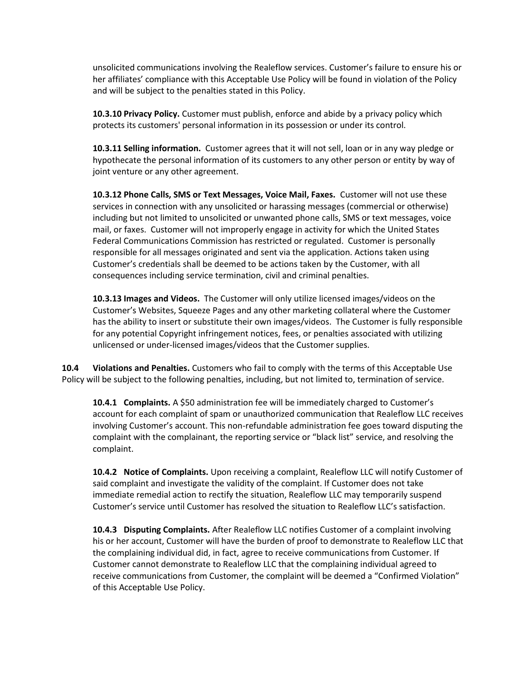unsolicited communications involving the Realeflow services. Customer's failure to ensure his or her affiliates' compliance with this Acceptable Use Policy will be found in violation of the Policy and will be subject to the penalties stated in this Policy.

**10.3.10 Privacy Policy.** Customer must publish, enforce and abide by a privacy policy which protects its customers' personal information in its possession or under its control.

**10.3.11 Selling information.** Customer agrees that it will not sell, loan or in any way pledge or hypothecate the personal information of its customers to any other person or entity by way of joint venture or any other agreement.

**10.3.12 Phone Calls, SMS or Text Messages, Voice Mail, Faxes.** Customer will not use these services in connection with any unsolicited or harassing messages (commercial or otherwise) including but not limited to unsolicited or unwanted phone calls, SMS or text messages, voice mail, or faxes. Customer will not improperly engage in activity for which the United States Federal Communications Commission has restricted or regulated. Customer is personally responsible for all messages originated and sent via the application. Actions taken using Customer's credentials shall be deemed to be actions taken by the Customer, with all consequences including service termination, civil and criminal penalties.

**10.3.13 Images and Videos.** The Customer will only utilize licensed images/videos on the Customer's Websites, Squeeze Pages and any other marketing collateral where the Customer has the ability to insert or substitute their own images/videos. The Customer is fully responsible for any potential Copyright infringement notices, fees, or penalties associated with utilizing unlicensed or under-licensed images/videos that the Customer supplies.

**10.4 Violations and Penalties.** Customers who fail to comply with the terms of this Acceptable Use Policy will be subject to the following penalties, including, but not limited to, termination of service.

**10.4.1 Complaints.** A \$50 administration fee will be immediately charged to Customer's account for each complaint of spam or unauthorized communication that Realeflow LLC receives involving Customer's account. This non-refundable administration fee goes toward disputing the complaint with the complainant, the reporting service or "black list" service, and resolving the complaint.

**10.4.2 Notice of Complaints.** Upon receiving a complaint, Realeflow LLC will notify Customer of said complaint and investigate the validity of the complaint. If Customer does not take immediate remedial action to rectify the situation, Realeflow LLC may temporarily suspend Customer's service until Customer has resolved the situation to Realeflow LLC's satisfaction.

**10.4.3 Disputing Complaints.** After Realeflow LLC notifies Customer of a complaint involving his or her account, Customer will have the burden of proof to demonstrate to Realeflow LLC that the complaining individual did, in fact, agree to receive communications from Customer. If Customer cannot demonstrate to Realeflow LLC that the complaining individual agreed to receive communications from Customer, the complaint will be deemed a "Confirmed Violation" of this Acceptable Use Policy.